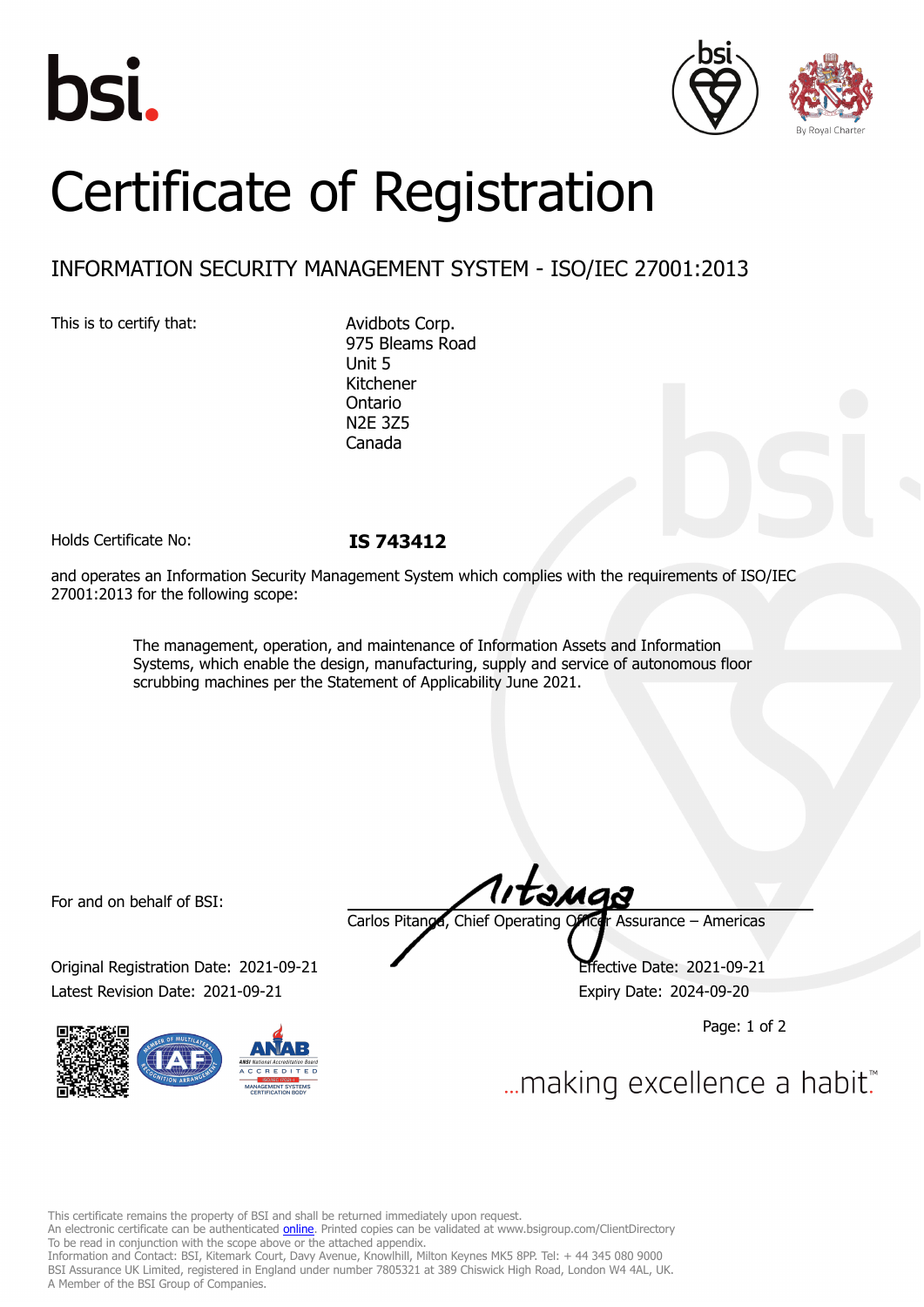





## Certificate of Registration

## INFORMATION SECURITY MANAGEMENT SYSTEM - ISO/IEC 27001:2013

This is to certify that: Avidbots Corp.

975 Bleams Road Unit 5 Kitchener Ontario N2E 3Z5 Canada

Holds Certificate No: **IS 743412**

and operates an Information Security Management System which complies with the requirements of ISO/IEC 27001:2013 for the following scope:

> The management, operation, and maintenance of Information Assets and Information Systems, which enable the design, manufacturing, supply and service of autonomous floor scrubbing machines per the Statement of Applicability June 2021.

For and on behalf of BSI:

Original Registration Date: 2021-09-21 Effective Date: 2021-09-21 Latest Revision Date: 2021-09-21 Expiry Date: 2024-09-20



Carlos Pitanga, Chief Operating Officer Assurance – Americas

Page: 1 of 2

... making excellence a habit.

This certificate remains the property of BSI and shall be returned immediately upon request.

An electronic certificate can be authenticated *[online](https://pgplus.bsigroup.com/CertificateValidation/CertificateValidator.aspx?CertificateNumber=IS+743412&ReIssueDate=21%2f09%2f2021&Template=inc)*. Printed copies can be validated at www.bsigroup.com/ClientDirectory To be read in conjunction with the scope above or the attached appendix.

Information and Contact: BSI, Kitemark Court, Davy Avenue, Knowlhill, Milton Keynes MK5 8PP. Tel: + 44 345 080 9000 BSI Assurance UK Limited, registered in England under number 7805321 at 389 Chiswick High Road, London W4 4AL, UK. A Member of the BSI Group of Companies.